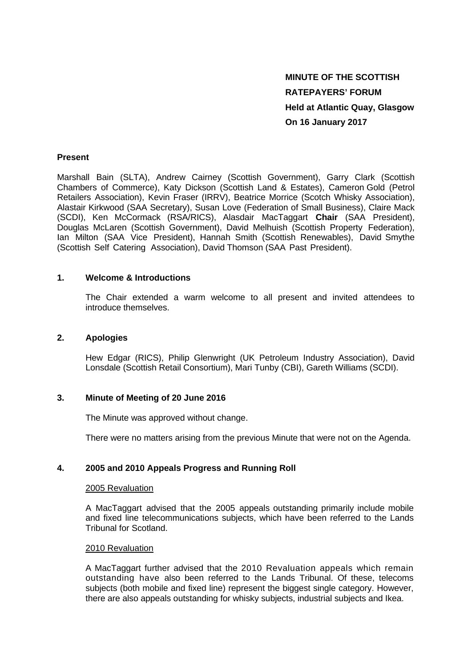# **MINUTE OF THE SCOTTISH RATEPAYERS' FORUM Held at Atlantic Quay, Glasgow On 16 January 2017**

## **Present**

Marshall Bain (SLTA), Andrew Cairney (Scottish Government), Garry Clark (Scottish Chambers of Commerce), Katy Dickson (Scottish Land & Estates), Cameron Gold (Petrol Retailers Association), Kevin Fraser (IRRV), Beatrice Morrice (Scotch Whisky Association), Alastair Kirkwood (SAA Secretary), Susan Love (Federation of Small Business), Claire Mack (SCDI), Ken McCormack (RSA/RICS), Alasdair MacTaggart **Chair** (SAA President), Douglas McLaren (Scottish Government), David Melhuish (Scottish Property Federation), Ian Milton (SAA Vice President), Hannah Smith (Scottish Renewables), David Smythe (Scottish Self Catering Association), David Thomson (SAA Past President).

## **1. Welcome & Introductions**

The Chair extended a warm welcome to all present and invited attendees to introduce themselves.

### **2. Apologies**

 Hew Edgar (RICS), Philip Glenwright (UK Petroleum Industry Association), David Lonsdale (Scottish Retail Consortium), Mari Tunby (CBI), Gareth Williams (SCDI).

#### **3. Minute of Meeting of 20 June 2016**

The Minute was approved without change.

There were no matters arising from the previous Minute that were not on the Agenda.

# **4. 2005 and 2010 Appeals Progress and Running Roll**

#### 2005 Revaluation

A MacTaggart advised that the 2005 appeals outstanding primarily include mobile and fixed line telecommunications subjects, which have been referred to the Lands Tribunal for Scotland.

# 2010 Revaluation

A MacTaggart further advised that the 2010 Revaluation appeals which remain outstanding have also been referred to the Lands Tribunal. Of these, telecoms subjects (both mobile and fixed line) represent the biggest single category. However, there are also appeals outstanding for whisky subjects, industrial subjects and Ikea.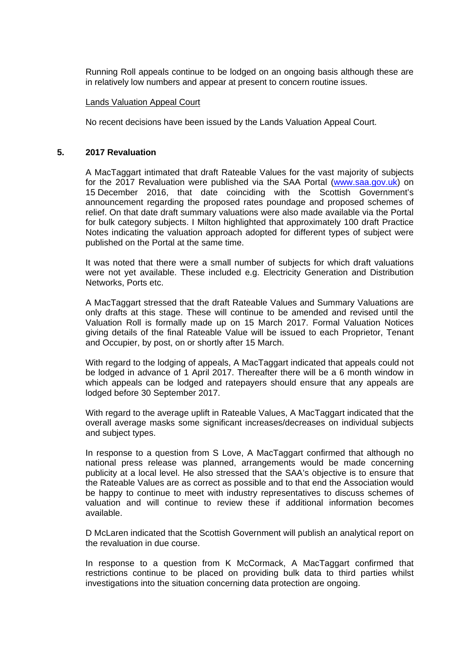Running Roll appeals continue to be lodged on an ongoing basis although these are in relatively low numbers and appear at present to concern routine issues.

#### Lands Valuation Appeal Court

No recent decisions have been issued by the Lands Valuation Appeal Court.

#### **5. 2017 Revaluation**

A MacTaggart intimated that draft Rateable Values for the vast majority of subjects for the 2017 Revaluation were published via the SAA Portal (www.saa.gov.uk) on 15 December 2016, that date coinciding with the Scottish Government's announcement regarding the proposed rates poundage and proposed schemes of relief. On that date draft summary valuations were also made available via the Portal for bulk category subjects. I Milton highlighted that approximately 100 draft Practice Notes indicating the valuation approach adopted for different types of subject were published on the Portal at the same time.

It was noted that there were a small number of subjects for which draft valuations were not yet available. These included e.g. Electricity Generation and Distribution Networks, Ports etc.

A MacTaggart stressed that the draft Rateable Values and Summary Valuations are only drafts at this stage. These will continue to be amended and revised until the Valuation Roll is formally made up on 15 March 2017. Formal Valuation Notices giving details of the final Rateable Value will be issued to each Proprietor, Tenant and Occupier, by post, on or shortly after 15 March.

With regard to the lodging of appeals, A MacTaggart indicated that appeals could not be lodged in advance of 1 April 2017. Thereafter there will be a 6 month window in which appeals can be lodged and ratepayers should ensure that any appeals are lodged before 30 September 2017.

With regard to the average uplift in Rateable Values, A MacTaggart indicated that the overall average masks some significant increases/decreases on individual subjects and subject types.

In response to a question from S Love, A MacTaggart confirmed that although no national press release was planned, arrangements would be made concerning publicity at a local level. He also stressed that the SAA's objective is to ensure that the Rateable Values are as correct as possible and to that end the Association would be happy to continue to meet with industry representatives to discuss schemes of valuation and will continue to review these if additional information becomes available.

D McLaren indicated that the Scottish Government will publish an analytical report on the revaluation in due course.

In response to a question from K McCormack, A MacTaggart confirmed that restrictions continue to be placed on providing bulk data to third parties whilst investigations into the situation concerning data protection are ongoing.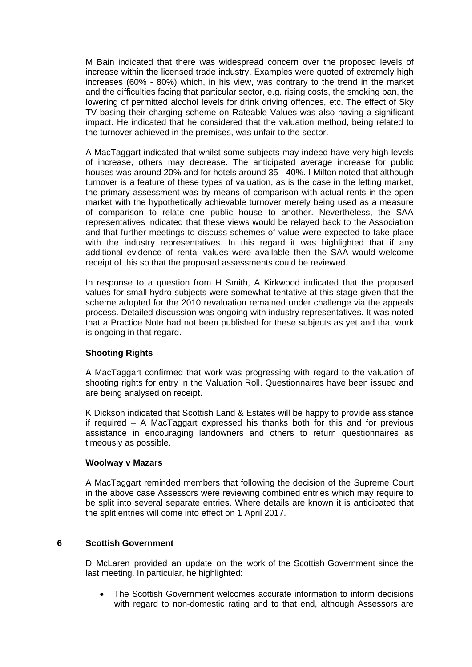M Bain indicated that there was widespread concern over the proposed levels of increase within the licensed trade industry. Examples were quoted of extremely high increases (60% - 80%) which, in his view, was contrary to the trend in the market and the difficulties facing that particular sector, e.g. rising costs, the smoking ban, the lowering of permitted alcohol levels for drink driving offences, etc. The effect of Sky TV basing their charging scheme on Rateable Values was also having a significant impact. He indicated that he considered that the valuation method, being related to the turnover achieved in the premises, was unfair to the sector.

A MacTaggart indicated that whilst some subjects may indeed have very high levels of increase, others may decrease. The anticipated average increase for public houses was around 20% and for hotels around 35 - 40%. I Milton noted that although turnover is a feature of these types of valuation, as is the case in the letting market, the primary assessment was by means of comparison with actual rents in the open market with the hypothetically achievable turnover merely being used as a measure of comparison to relate one public house to another. Nevertheless, the SAA representatives indicated that these views would be relayed back to the Association and that further meetings to discuss schemes of value were expected to take place with the industry representatives. In this regard it was highlighted that if any additional evidence of rental values were available then the SAA would welcome receipt of this so that the proposed assessments could be reviewed.

In response to a question from H Smith, A Kirkwood indicated that the proposed values for small hydro subjects were somewhat tentative at this stage given that the scheme adopted for the 2010 revaluation remained under challenge via the appeals process. Detailed discussion was ongoing with industry representatives. It was noted that a Practice Note had not been published for these subjects as yet and that work is ongoing in that regard.

# **Shooting Rights**

A MacTaggart confirmed that work was progressing with regard to the valuation of shooting rights for entry in the Valuation Roll. Questionnaires have been issued and are being analysed on receipt.

K Dickson indicated that Scottish Land & Estates will be happy to provide assistance if required – A MacTaggart expressed his thanks both for this and for previous assistance in encouraging landowners and others to return questionnaires as timeously as possible.

# **Woolway v Mazars**

A MacTaggart reminded members that following the decision of the Supreme Court in the above case Assessors were reviewing combined entries which may require to be split into several separate entries. Where details are known it is anticipated that the split entries will come into effect on 1 April 2017.

# **6 Scottish Government**

D McLaren provided an update on the work of the Scottish Government since the last meeting. In particular, he highlighted:

 The Scottish Government welcomes accurate information to inform decisions with regard to non-domestic rating and to that end, although Assessors are